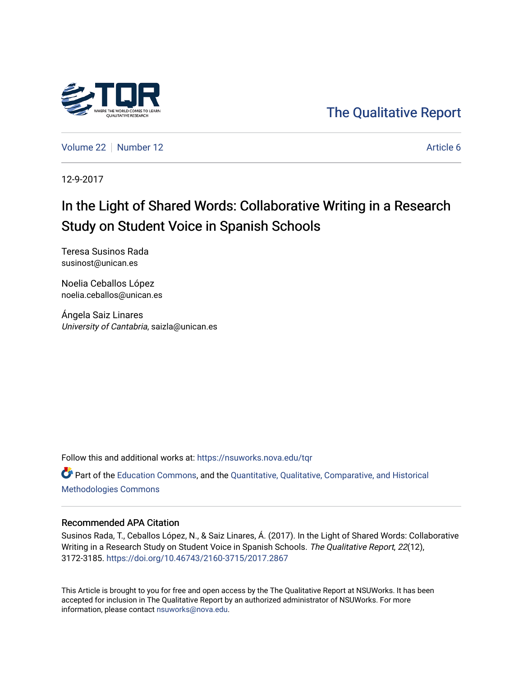

## [The Qualitative Report](https://nsuworks.nova.edu/tqr)

[Volume 22](https://nsuworks.nova.edu/tqr/vol22) [Number 12](https://nsuworks.nova.edu/tqr/vol22/iss12) Article 6

12-9-2017

# In the Light of Shared Words: Collaborative Writing in a Research Study on Student Voice in Spanish Schools

Teresa Susinos Rada susinost@unican.es

Noelia Ceballos López noelia.ceballos@unican.es

Ángela Saiz Linares University of Cantabria, saizla@unican.es

Follow this and additional works at: [https://nsuworks.nova.edu/tqr](https://nsuworks.nova.edu/tqr?utm_source=nsuworks.nova.edu%2Ftqr%2Fvol22%2Fiss12%2F6&utm_medium=PDF&utm_campaign=PDFCoverPages) 

Part of the [Education Commons](http://network.bepress.com/hgg/discipline/784?utm_source=nsuworks.nova.edu%2Ftqr%2Fvol22%2Fiss12%2F6&utm_medium=PDF&utm_campaign=PDFCoverPages), and the [Quantitative, Qualitative, Comparative, and Historical](http://network.bepress.com/hgg/discipline/423?utm_source=nsuworks.nova.edu%2Ftqr%2Fvol22%2Fiss12%2F6&utm_medium=PDF&utm_campaign=PDFCoverPages) [Methodologies Commons](http://network.bepress.com/hgg/discipline/423?utm_source=nsuworks.nova.edu%2Ftqr%2Fvol22%2Fiss12%2F6&utm_medium=PDF&utm_campaign=PDFCoverPages) 

#### Recommended APA Citation

Susinos Rada, T., Ceballos López, N., & Saiz Linares, Á. (2017). In the Light of Shared Words: Collaborative Writing in a Research Study on Student Voice in Spanish Schools. The Qualitative Report, 22(12), 3172-3185. <https://doi.org/10.46743/2160-3715/2017.2867>

This Article is brought to you for free and open access by the The Qualitative Report at NSUWorks. It has been accepted for inclusion in The Qualitative Report by an authorized administrator of NSUWorks. For more information, please contact [nsuworks@nova.edu.](mailto:nsuworks@nova.edu)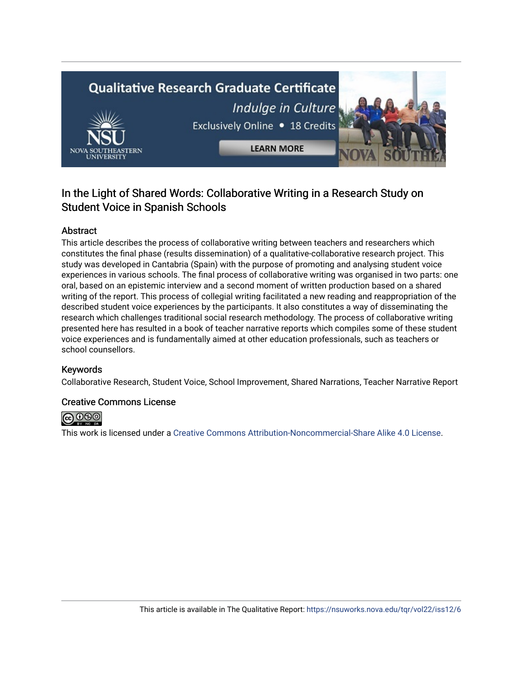# **Qualitative Research Graduate Certificate** Indulge in Culture Exclusively Online . 18 Credits **LEARN MORE**

### In the Light of Shared Words: Collaborative Writing in a Research Study on Student Voice in Spanish Schools

#### Abstract

This article describes the process of collaborative writing between teachers and researchers which constitutes the final phase (results dissemination) of a qualitative-collaborative research project. This study was developed in Cantabria (Spain) with the purpose of promoting and analysing student voice experiences in various schools. The final process of collaborative writing was organised in two parts: one oral, based on an epistemic interview and a second moment of written production based on a shared writing of the report. This process of collegial writing facilitated a new reading and reappropriation of the described student voice experiences by the participants. It also constitutes a way of disseminating the research which challenges traditional social research methodology. The process of collaborative writing presented here has resulted in a book of teacher narrative reports which compiles some of these student voice experiences and is fundamentally aimed at other education professionals, such as teachers or school counsellors.

#### Keywords

Collaborative Research, Student Voice, School Improvement, Shared Narrations, Teacher Narrative Report

#### Creative Commons License



This work is licensed under a [Creative Commons Attribution-Noncommercial-Share Alike 4.0 License](https://creativecommons.org/licenses/by-nc-sa/4.0/).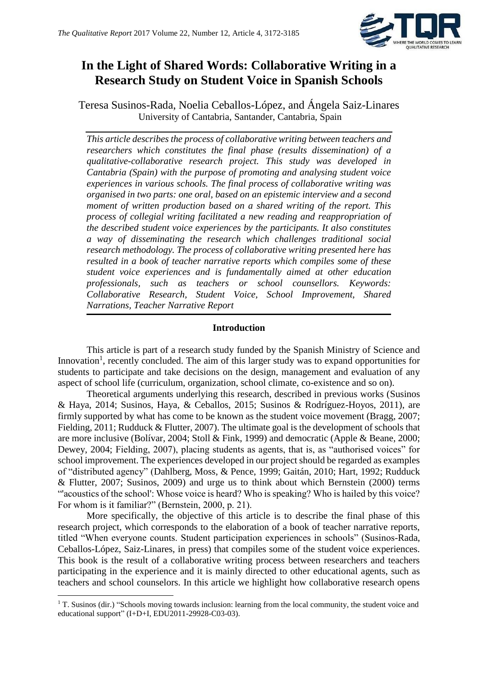

## **In the Light of Shared Words: Collaborative Writing in a Research Study on Student Voice in Spanish Schools**

Teresa Susinos-Rada, Noelia Ceballos-López, and Ángela Saiz-Linares University of Cantabria, Santander, Cantabria, Spain

*This article describes the process of collaborative writing between teachers and researchers which constitutes the final phase (results dissemination) of a qualitative-collaborative research project. This study was developed in Cantabria (Spain) with the purpose of promoting and analysing student voice experiences in various schools. The final process of collaborative writing was organised in two parts: one oral, based on an epistemic interview and a second moment of written production based on a shared writing of the report. This process of collegial writing facilitated a new reading and reappropriation of the described student voice experiences by the participants. It also constitutes a way of disseminating the research which challenges traditional social research methodology. The process of collaborative writing presented here has resulted in a book of teacher narrative reports which compiles some of these student voice experiences and is fundamentally aimed at other education professionals, such as teachers or school counsellors. Keywords: Collaborative Research, Student Voice, School Improvement, Shared Narrations, Teacher Narrative Report* 

#### **Introduction**

This article is part of a research study funded by the Spanish Ministry of Science and Innovation<sup>1</sup>, recently concluded. The aim of this larger study was to expand opportunities for students to participate and take decisions on the design, management and evaluation of any aspect of school life (curriculum, organization, school climate, co-existence and so on).

Theoretical arguments underlying this research, described in previous works (Susinos & Haya, 2014; Susinos, Haya, & Ceballos, 2015; Susinos & Rodríguez-Hoyos, 2011), are firmly supported by what has come to be known as the student voice movement (Bragg, 2007; Fielding, 2011; Rudduck & Flutter, 2007). The ultimate goal is the development of schools that are more inclusive (Bolívar, 2004; Stoll & Fink, 1999) and democratic (Apple & Beane, 2000; Dewey, 2004; Fielding, 2007), placing students as agents, that is, as "authorised voices" for school improvement. The experiences developed in our project should be regarded as examples of "distributed agency" (Dahlberg, Moss, & Pence, 1999; Gaitán, 2010; Hart, 1992; Rudduck & Flutter, 2007; Susinos, 2009) and urge us to think about which Bernstein (2000) terms "'acoustics of the school': Whose voice is heard? Who is speaking? Who is hailed by this voice? For whom is it familiar?" (Bernstein, 2000, p. 21).

More specifically, the objective of this article is to describe the final phase of this research project, which corresponds to the elaboration of a book of teacher narrative reports, titled "When everyone counts. Student participation experiences in schools" (Susinos-Rada, Ceballos-López, Saiz-Linares, in press) that compiles some of the student voice experiences. This book is the result of a collaborative writing process between researchers and teachers participating in the experience and it is mainly directed to other educational agents, such as teachers and school counselors. In this article we highlight how collaborative research opens

1

<sup>&</sup>lt;sup>1</sup> T. Susinos (dir.) "Schools moving towards inclusion: learning from the local community, the student voice and educational support" (I+D+I, EDU2011-29928-C03-03).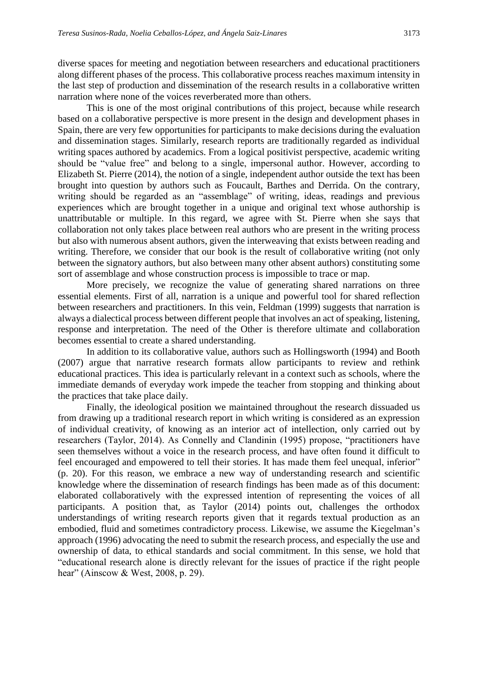diverse spaces for meeting and negotiation between researchers and educational practitioners along different phases of the process. This collaborative process reaches maximum intensity in the last step of production and dissemination of the research results in a collaborative written narration where none of the voices reverberated more than others.

This is one of the most original contributions of this project, because while research based on a collaborative perspective is more present in the design and development phases in Spain, there are very few opportunities for participants to make decisions during the evaluation and dissemination stages. Similarly, research reports are traditionally regarded as individual writing spaces authored by academics. From a logical positivist perspective, academic writing should be "value free" and belong to a single, impersonal author. However, according to Elizabeth St. Pierre (2014), the notion of a single, independent author outside the text has been brought into question by authors such as Foucault, Barthes and Derrida. On the contrary, writing should be regarded as an "assemblage" of writing, ideas, readings and previous experiences which are brought together in a unique and original text whose authorship is unattributable or multiple. In this regard, we agree with St. Pierre when she says that collaboration not only takes place between real authors who are present in the writing process but also with numerous absent authors, given the interweaving that exists between reading and writing. Therefore, we consider that our book is the result of collaborative writing (not only between the signatory authors, but also between many other absent authors) constituting some sort of assemblage and whose construction process is impossible to trace or map.

More precisely, we recognize the value of generating shared narrations on three essential elements. First of all, narration is a unique and powerful tool for shared reflection between researchers and practitioners. In this vein, Feldman (1999) suggests that narration is always a dialectical process between different people that involves an act of speaking, listening, response and interpretation. The need of the Other is therefore ultimate and collaboration becomes essential to create a shared understanding.

In addition to its collaborative value, authors such as Hollingsworth (1994) and Booth (2007) argue that narrative research formats allow participants to review and rethink educational practices. This idea is particularly relevant in a context such as schools, where the immediate demands of everyday work impede the teacher from stopping and thinking about the practices that take place daily.

Finally, the ideological position we maintained throughout the research dissuaded us from drawing up a traditional research report in which writing is considered as an expression of individual creativity, of knowing as an interior act of intellection, only carried out by researchers (Taylor, 2014). As Connelly and Clandinin (1995) propose, "practitioners have seen themselves without a voice in the research process, and have often found it difficult to feel encouraged and empowered to tell their stories. It has made them feel unequal, inferior" (p. 20). For this reason, we embrace a new way of understanding research and scientific knowledge where the dissemination of research findings has been made as of this document: elaborated collaboratively with the expressed intention of representing the voices of all participants. A position that, as Taylor (2014) points out, challenges the orthodox understandings of writing research reports given that it regards textual production as an embodied, fluid and sometimes contradictory process. Likewise, we assume the Kiegelman's approach (1996) advocating the need to submit the research process, and especially the use and ownership of data, to ethical standards and social commitment. In this sense, we hold that "educational research alone is directly relevant for the issues of practice if the right people hear" (Ainscow & West, 2008, p. 29).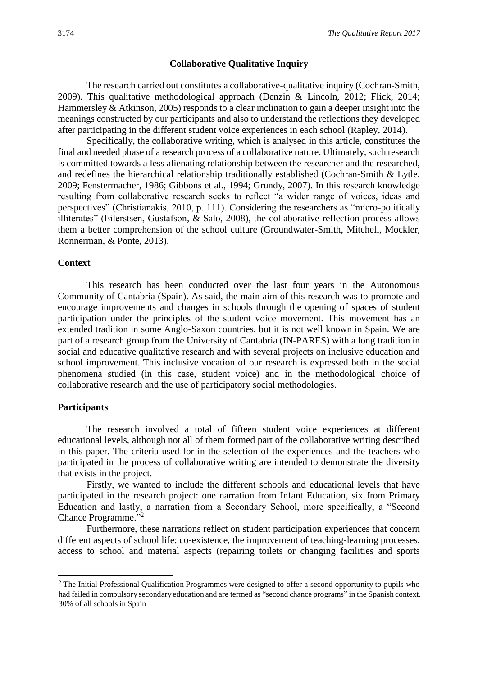#### **Collaborative Qualitative Inquiry**

The research carried out constitutes a collaborative-qualitative inquiry (Cochran-Smith, 2009). This qualitative methodological approach (Denzin & Lincoln, 2012; Flick, 2014; Hammersley & Atkinson, 2005) responds to a clear inclination to gain a deeper insight into the meanings constructed by our participants and also to understand the reflections they developed after participating in the different student voice experiences in each school (Rapley, 2014).

Specifically, the collaborative writing, which is analysed in this article, constitutes the final and needed phase of a research process of a collaborative nature. Ultimately, such research is committed towards a less alienating relationship between the researcher and the researched, and redefines the hierarchical relationship traditionally established (Cochran-Smith & Lytle, 2009; Fenstermacher, 1986; Gibbons et al., 1994; Grundy, 2007). In this research knowledge resulting from collaborative research seeks to reflect "a wider range of voices, ideas and perspectives" (Christianakis, 2010, p. 111). Considering the researchers as "micro-politically illiterates" (Eilerstsen, Gustafson, & Salo, 2008), the collaborative reflection process allows them a better comprehension of the school culture (Groundwater-Smith, Mitchell, Mockler, Ronnerman, & Ponte, 2013).

#### **Context**

This research has been conducted over the last four years in the Autonomous Community of Cantabria (Spain). As said, the main aim of this research was to promote and encourage improvements and changes in schools through the opening of spaces of student participation under the principles of the student voice movement. This movement has an extended tradition in some Anglo-Saxon countries, but it is not well known in Spain. We are part of a research group from the University of Cantabria (IN-PARES) with a long tradition in social and educative qualitative research and with several projects on inclusive education and school improvement. This inclusive vocation of our research is expressed both in the social phenomena studied (in this case, student voice) and in the methodological choice of collaborative research and the use of participatory social methodologies.

#### **Participants**

**.** 

The research involved a total of fifteen student voice experiences at different educational levels, although not all of them formed part of the collaborative writing described in this paper. The criteria used for in the selection of the experiences and the teachers who participated in the process of collaborative writing are intended to demonstrate the diversity that exists in the project.

Firstly, we wanted to include the different schools and educational levels that have participated in the research project: one narration from Infant Education, six from Primary Education and lastly, a narration from a Secondary School, more specifically, a "Second Chance Programme."<sup>2</sup>

Furthermore, these narrations reflect on student participation experiences that concern different aspects of school life: co-existence, the improvement of teaching-learning processes, access to school and material aspects (repairing toilets or changing facilities and sports

<sup>&</sup>lt;sup>2</sup> The Initial Professional Qualification Programmes were designed to offer a second opportunity to pupils who had failed in compulsory secondary education and are termed as "second chance programs" in the Spanish context. 30% of all schools in Spain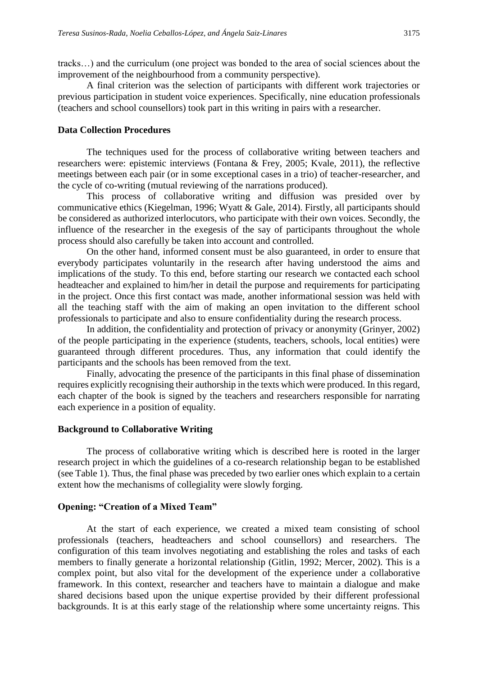tracks…) and the curriculum (one project was bonded to the area of social sciences about the improvement of the neighbourhood from a community perspective).

A final criterion was the selection of participants with different work trajectories or previous participation in student voice experiences. Specifically, nine education professionals (teachers and school counsellors) took part in this writing in pairs with a researcher.

#### **Data Collection Procedures**

The techniques used for the process of collaborative writing between teachers and researchers were: epistemic interviews (Fontana & Frey, 2005; Kvale, 2011), the reflective meetings between each pair (or in some exceptional cases in a trio) of teacher-researcher, and the cycle of co-writing (mutual reviewing of the narrations produced).

This process of collaborative writing and diffusion was presided over by communicative ethics (Kiegelman, 1996; Wyatt & Gale, 2014). Firstly, all participants should be considered as authorized interlocutors, who participate with their own voices. Secondly, the influence of the researcher in the exegesis of the say of participants throughout the whole process should also carefully be taken into account and controlled.

On the other hand, informed consent must be also guaranteed, in order to ensure that everybody participates voluntarily in the research after having understood the aims and implications of the study. To this end, before starting our research we contacted each school headteacher and explained to him/her in detail the purpose and requirements for participating in the project. Once this first contact was made, another informational session was held with all the teaching staff with the aim of making an open invitation to the different school professionals to participate and also to ensure confidentiality during the research process.

In addition, the confidentiality and protection of privacy or anonymity (Grinyer, 2002) of the people participating in the experience (students, teachers, schools, local entities) were guaranteed through different procedures. Thus, any information that could identify the participants and the schools has been removed from the text.

Finally, advocating the presence of the participants in this final phase of dissemination requires explicitly recognising their authorship in the texts which were produced. In this regard, each chapter of the book is signed by the teachers and researchers responsible for narrating each experience in a position of equality.

#### **Background to Collaborative Writing**

The process of collaborative writing which is described here is rooted in the larger research project in which the guidelines of a co-research relationship began to be established (see Table 1). Thus, the final phase was preceded by two earlier ones which explain to a certain extent how the mechanisms of collegiality were slowly forging.

#### **Opening: "Creation of a Mixed Team"**

At the start of each experience, we created a mixed team consisting of school professionals (teachers, headteachers and school counsellors) and researchers. The configuration of this team involves negotiating and establishing the roles and tasks of each members to finally generate a horizontal relationship (Gitlin, 1992; Mercer, 2002). This is a complex point, but also vital for the development of the experience under a collaborative framework. In this context, researcher and teachers have to maintain a dialogue and make shared decisions based upon the unique expertise provided by their different professional backgrounds. It is at this early stage of the relationship where some uncertainty reigns. This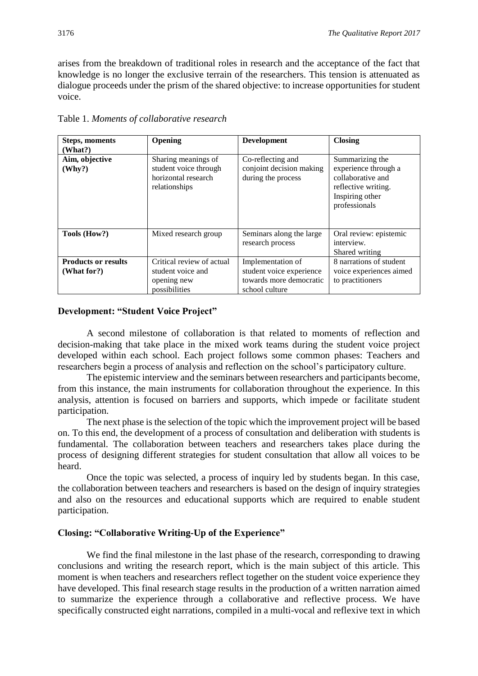arises from the breakdown of traditional roles in research and the acceptance of the fact that knowledge is no longer the exclusive terrain of the researchers. This tension is attenuated as dialogue proceeds under the prism of the shared objective: to increase opportunities for student voice.

| <b>Steps, moments</b><br>(What?)          | Opening                                                                              | <b>Development</b>                                                                         | <b>Closing</b>                                                                                                          |
|-------------------------------------------|--------------------------------------------------------------------------------------|--------------------------------------------------------------------------------------------|-------------------------------------------------------------------------------------------------------------------------|
| Aim, objective<br>(Why?)                  | Sharing meanings of<br>student voice through<br>horizontal research<br>relationships | Co-reflecting and<br>conjoint decision making<br>during the process                        | Summarizing the<br>experience through a<br>collaborative and<br>reflective writing.<br>Inspiring other<br>professionals |
| Tools (How?)                              | Mixed research group                                                                 | Seminars along the large<br>research process                                               | Oral review: epistemic<br>interview.<br>Shared writing                                                                  |
| <b>Products or results</b><br>(What for?) | Critical review of actual<br>student voice and<br>opening new<br>possibilities       | Implementation of<br>student voice experience<br>towards more democratic<br>school culture | 8 narrations of student<br>voice experiences aimed<br>to practitioners                                                  |

Table 1. *Moments of collaborative research*

#### **Development: "Student Voice Project"**

A second milestone of collaboration is that related to moments of reflection and decision-making that take place in the mixed work teams during the student voice project developed within each school. Each project follows some common phases: Teachers and researchers begin a process of analysis and reflection on the school's participatory culture.

The epistemic interview and the seminars between researchers and participants become, from this instance, the main instruments for collaboration throughout the experience. In this analysis, attention is focused on barriers and supports, which impede or facilitate student participation.

The next phase is the selection of the topic which the improvement project will be based on. To this end, the development of a process of consultation and deliberation with students is fundamental. The collaboration between teachers and researchers takes place during the process of designing different strategies for student consultation that allow all voices to be heard.

Once the topic was selected, a process of inquiry led by students began. In this case, the collaboration between teachers and researchers is based on the design of inquiry strategies and also on the resources and educational supports which are required to enable student participation.

#### **Closing: "Collaborative Writing-Up of the Experience"**

We find the final milestone in the last phase of the research, corresponding to drawing conclusions and writing the research report, which is the main subject of this article. This moment is when teachers and researchers reflect together on the student voice experience they have developed. This final research stage results in the production of a written narration aimed to summarize the experience through a collaborative and reflective process. We have specifically constructed eight narrations, compiled in a multi-vocal and reflexive text in which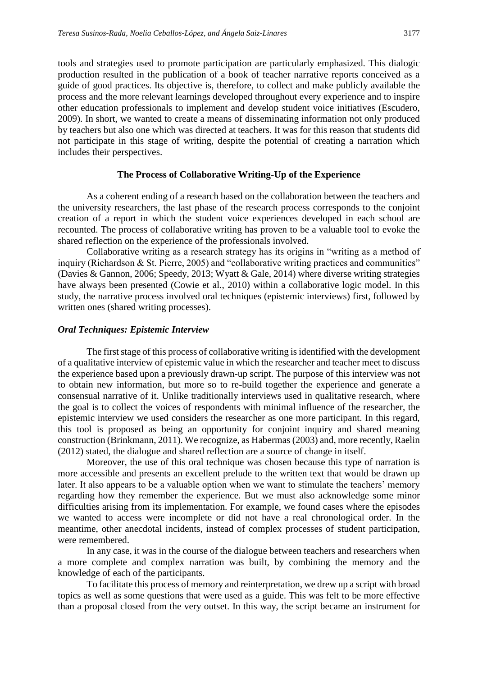tools and strategies used to promote participation are particularly emphasized. This dialogic production resulted in the publication of a book of teacher narrative reports conceived as a guide of good practices. Its objective is, therefore, to collect and make publicly available the process and the more relevant learnings developed throughout every experience and to inspire other education professionals to implement and develop student voice initiatives (Escudero, 2009). In short, we wanted to create a means of disseminating information not only produced by teachers but also one which was directed at teachers. It was for this reason that students did not participate in this stage of writing, despite the potential of creating a narration which includes their perspectives.

#### **The Process of Collaborative Writing-Up of the Experience**

As a coherent ending of a research based on the collaboration between the teachers and the university researchers, the last phase of the research process corresponds to the conjoint creation of a report in which the student voice experiences developed in each school are recounted. The process of collaborative writing has proven to be a valuable tool to evoke the shared reflection on the experience of the professionals involved.

Collaborative writing as a research strategy has its origins in "writing as a method of inquiry (Richardson & St. Pierre, 2005) and "collaborative writing practices and communities" (Davies & Gannon, 2006; Speedy, 2013; Wyatt & Gale, 2014) where diverse writing strategies have always been presented (Cowie et al., 2010) within a collaborative logic model. In this study, the narrative process involved oral techniques (epistemic interviews) first, followed by written ones (shared writing processes).

#### *Oral Techniques: Epistemic Interview*

The first stage of this process of collaborative writing is identified with the development of a qualitative interview of epistemic value in which the researcher and teacher meet to discuss the experience based upon a previously drawn-up script. The purpose of this interview was not to obtain new information, but more so to re-build together the experience and generate a consensual narrative of it. Unlike traditionally interviews used in qualitative research, where the goal is to collect the voices of respondents with minimal influence of the researcher, the epistemic interview we used considers the researcher as one more participant. In this regard, this tool is proposed as being an opportunity for conjoint inquiry and shared meaning construction (Brinkmann, 2011). We recognize, as Habermas (2003) and, more recently, Raelin (2012) stated, the dialogue and shared reflection are a source of change in itself.

Moreover, the use of this oral technique was chosen because this type of narration is more accessible and presents an excellent prelude to the written text that would be drawn up later. It also appears to be a valuable option when we want to stimulate the teachers' memory regarding how they remember the experience. But we must also acknowledge some minor difficulties arising from its implementation. For example, we found cases where the episodes we wanted to access were incomplete or did not have a real chronological order. In the meantime, other anecdotal incidents, instead of complex processes of student participation, were remembered.

In any case, it was in the course of the dialogue between teachers and researchers when a more complete and complex narration was built, by combining the memory and the knowledge of each of the participants.

To facilitate this process of memory and reinterpretation, we drew up a script with broad topics as well as some questions that were used as a guide. This was felt to be more effective than a proposal closed from the very outset. In this way, the script became an instrument for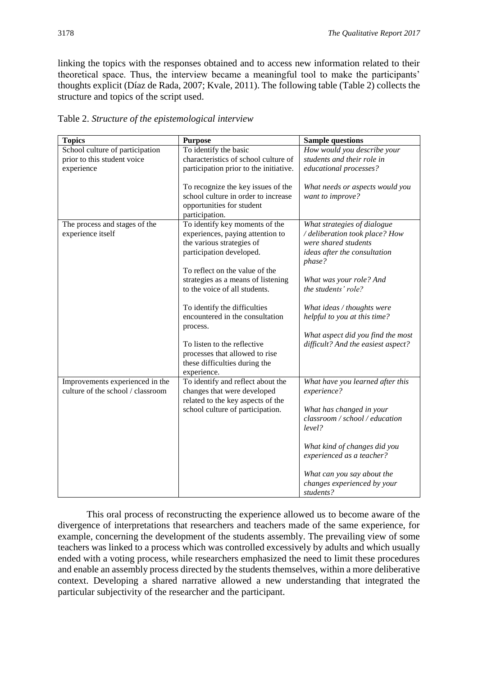linking the topics with the responses obtained and to access new information related to their theoretical space. Thus, the interview became a meaningful tool to make the participants' thoughts explicit (Díaz de Rada, 2007; Kvale, 2011). The following table (Table 2) collects the structure and topics of the script used.

| <b>Topics</b>                                                                | <b>Purpose</b>                                                                                                                                                                                                                       | <b>Sample questions</b>                                                                                                                                                                                                                                        |
|------------------------------------------------------------------------------|--------------------------------------------------------------------------------------------------------------------------------------------------------------------------------------------------------------------------------------|----------------------------------------------------------------------------------------------------------------------------------------------------------------------------------------------------------------------------------------------------------------|
| School culture of participation<br>prior to this student voice<br>experience | To identify the basic<br>characteristics of school culture of<br>participation prior to the initiative.                                                                                                                              | How would you describe your<br>students and their role in<br>educational processes?                                                                                                                                                                            |
|                                                                              | To recognize the key issues of the<br>school culture in order to increase<br>opportunities for student<br>participation.                                                                                                             | What needs or aspects would you<br>want to improve?                                                                                                                                                                                                            |
| The process and stages of the<br>experience itself                           | To identify key moments of the<br>experiences, paying attention to<br>the various strategies of<br>participation developed.<br>To reflect on the value of the<br>strategies as a means of listening<br>to the voice of all students. | What strategies of dialogue<br>/ deliberation took place? How<br>were shared students<br>ideas after the consultation<br>phase?<br>What was your role? And<br>the students' role?                                                                              |
|                                                                              | To identify the difficulties<br>encountered in the consultation<br>process.<br>To listen to the reflective<br>processes that allowed to rise<br>these difficulties during the<br>experience.                                         | What ideas / thoughts were<br>helpful to you at this time?<br>What aspect did you find the most<br>difficult? And the easiest aspect?                                                                                                                          |
| Improvements experienced in the<br>culture of the school / classroom         | To identify and reflect about the<br>changes that were developed<br>related to the key aspects of the<br>school culture of participation.                                                                                            | What have you learned after this<br>experience?<br>What has changed in your<br>classroom / school / education<br>level?<br>What kind of changes did you<br>experienced as a teacher?<br>What can you say about the<br>changes experienced by your<br>students? |

Table 2. *Structure of the epistemological interview*

This oral process of reconstructing the experience allowed us to become aware of the divergence of interpretations that researchers and teachers made of the same experience, for example, concerning the development of the students assembly. The prevailing view of some teachers was linked to a process which was controlled excessively by adults and which usually ended with a voting process, while researchers emphasized the need to limit these procedures and enable an assembly process directed by the students themselves, within a more deliberative context. Developing a shared narrative allowed a new understanding that integrated the particular subjectivity of the researcher and the participant.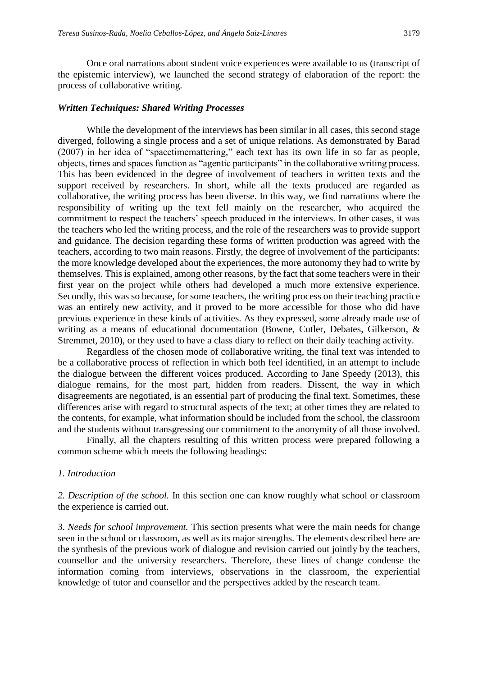Once oral narrations about student voice experiences were available to us (transcript of the epistemic interview), we launched the second strategy of elaboration of the report: the process of collaborative writing.

#### *Written Techniques: Shared Writing Processes*

While the development of the interviews has been similar in all cases, this second stage diverged, following a single process and a set of unique relations. As demonstrated by Barad (2007) in her idea of "spacetimemattering," each text has its own life in so far as people, objects, times and spaces function as "agentic participants" in the collaborative writing process. This has been evidenced in the degree of involvement of teachers in written texts and the support received by researchers. In short, while all the texts produced are regarded as collaborative, the writing process has been diverse. In this way, we find narrations where the responsibility of writing up the text fell mainly on the researcher, who acquired the commitment to respect the teachers' speech produced in the interviews. In other cases, it was the teachers who led the writing process, and the role of the researchers was to provide support and guidance. The decision regarding these forms of written production was agreed with the teachers, according to two main reasons. Firstly, the degree of involvement of the participants: the more knowledge developed about the experiences, the more autonomy they had to write by themselves. This is explained, among other reasons, by the fact that some teachers were in their first year on the project while others had developed a much more extensive experience. Secondly, this was so because, for some teachers, the writing process on their teaching practice was an entirely new activity, and it proved to be more accessible for those who did have previous experience in these kinds of activities. As they expressed, some already made use of writing as a means of educational documentation (Bowne, Cutler, Debates, Gilkerson, & Stremmet, 2010), or they used to have a class diary to reflect on their daily teaching activity.

Regardless of the chosen mode of collaborative writing, the final text was intended to be a collaborative process of reflection in which both feel identified, in an attempt to include the dialogue between the different voices produced. According to Jane Speedy (2013), this dialogue remains, for the most part, hidden from readers. Dissent, the way in which disagreements are negotiated, is an essential part of producing the final text. Sometimes, these differences arise with regard to structural aspects of the text; at other times they are related to the contents, for example, what information should be included from the school, the classroom and the students without transgressing our commitment to the anonymity of all those involved.

Finally, all the chapters resulting of this written process were prepared following a common scheme which meets the following headings:

#### *1. Introduction*

*2. Description of the school.* In this section one can know roughly what school or classroom the experience is carried out.

*3. Needs for school improvement.* This section presents what were the main needs for change seen in the school or classroom, as well as its major strengths. The elements described here are the synthesis of the previous work of dialogue and revision carried out jointly by the teachers, counsellor and the university researchers. Therefore, these lines of change condense the information coming from interviews, observations in the classroom, the experiential knowledge of tutor and counsellor and the perspectives added by the research team.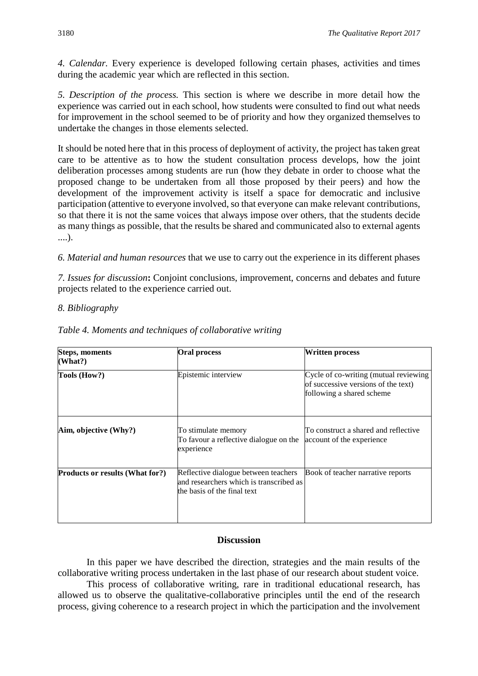*4. Calendar.* Every experience is developed following certain phases, activities and times during the academic year which are reflected in this section.

*5. Description of the process.* This section is where we describe in more detail how the experience was carried out in each school, how students were consulted to find out what needs for improvement in the school seemed to be of priority and how they organized themselves to undertake the changes in those elements selected.

It should be noted here that in this process of deployment of activity, the project has taken great care to be attentive as to how the student consultation process develops, how the joint deliberation processes among students are run (how they debate in order to choose what the proposed change to be undertaken from all those proposed by their peers) and how the development of the improvement activity is itself a space for democratic and inclusive participation (attentive to everyone involved, so that everyone can make relevant contributions, so that there it is not the same voices that always impose over others, that the students decide as many things as possible, that the results be shared and communicated also to external agents ....).

*6. Material and human resources* that we use to carry out the experience in its different phases

*7. Issues for discussion***:** Conjoint conclusions, improvement, concerns and debates and future projects related to the experience carried out.

#### *8. Bibliography*

| Steps, moments<br>(What?)       | <b>Oral process</b>                                                                                            | Written process                                                                                           |
|---------------------------------|----------------------------------------------------------------------------------------------------------------|-----------------------------------------------------------------------------------------------------------|
| Tools (How?)                    | Epistemic interview                                                                                            | Cycle of co-writing (mutual reviewing<br>of successive versions of the text)<br>following a shared scheme |
| Aim, objective (Why?)           | To stimulate memory<br>To favour a reflective dialogue on the<br>experience                                    | To construct a shared and reflective<br>account of the experience                                         |
| Products or results (What for?) | Reflective dialogue between teachers<br>and researchers which is transcribed as<br>the basis of the final text | Book of teacher narrative reports                                                                         |

#### *Table 4. Moments and techniques of collaborative writing*

#### **Discussion**

In this paper we have described the direction, strategies and the main results of the collaborative writing process undertaken in the last phase of our research about student voice.

This process of collaborative writing, rare in traditional educational research, has allowed us to observe the qualitative-collaborative principles until the end of the research process, giving coherence to a research project in which the participation and the involvement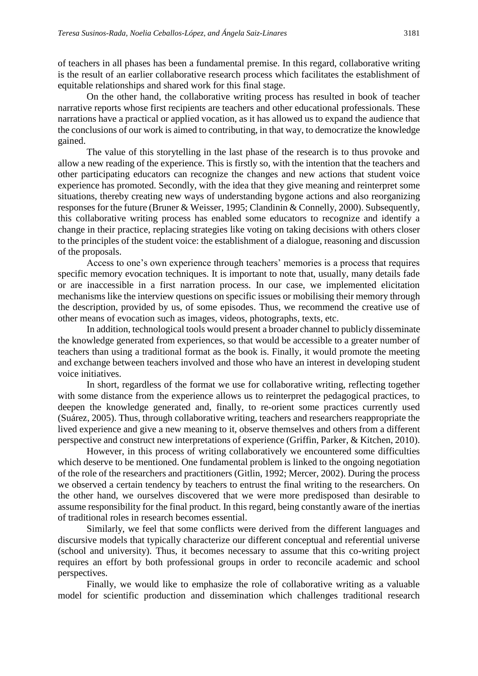of teachers in all phases has been a fundamental premise. In this regard, collaborative writing is the result of an earlier collaborative research process which facilitates the establishment of equitable relationships and shared work for this final stage.

On the other hand, the collaborative writing process has resulted in book of teacher narrative reports whose first recipients are teachers and other educational professionals. These narrations have a practical or applied vocation, as it has allowed us to expand the audience that the conclusions of our work is aimed to contributing, in that way, to democratize the knowledge gained.

The value of this storytelling in the last phase of the research is to thus provoke and allow a new reading of the experience. This is firstly so, with the intention that the teachers and other participating educators can recognize the changes and new actions that student voice experience has promoted. Secondly, with the idea that they give meaning and reinterpret some situations, thereby creating new ways of understanding bygone actions and also reorganizing responses for the future (Bruner & Weisser, 1995; Clandinin & Connelly, 2000). Subsequently, this collaborative writing process has enabled some educators to recognize and identify a change in their practice, replacing strategies like voting on taking decisions with others closer to the principles of the student voice: the establishment of a dialogue, reasoning and discussion of the proposals.

Access to one's own experience through teachers' memories is a process that requires specific memory evocation techniques. It is important to note that, usually, many details fade or are inaccessible in a first narration process. In our case, we implemented elicitation mechanisms like the interview questions on specific issues or mobilising their memory through the description, provided by us, of some episodes. Thus, we recommend the creative use of other means of evocation such as images, videos, photographs, texts, etc.

In addition, technological tools would present a broader channel to publicly disseminate the knowledge generated from experiences, so that would be accessible to a greater number of teachers than using a traditional format as the book is. Finally, it would promote the meeting and exchange between teachers involved and those who have an interest in developing student voice initiatives.

In short, regardless of the format we use for collaborative writing, reflecting together with some distance from the experience allows us to reinterpret the pedagogical practices, to deepen the knowledge generated and, finally, to re-orient some practices currently used (Suárez, 2005). Thus, through collaborative writing, teachers and researchers reappropriate the lived experience and give a new meaning to it, observe themselves and others from a different perspective and construct new interpretations of experience (Griffin, Parker, & Kitchen, 2010).

However, in this process of writing collaboratively we encountered some difficulties which deserve to be mentioned. One fundamental problem is linked to the ongoing negotiation of the role of the researchers and practitioners (Gitlin, 1992; Mercer, 2002). During the process we observed a certain tendency by teachers to entrust the final writing to the researchers. On the other hand, we ourselves discovered that we were more predisposed than desirable to assume responsibility for the final product. In this regard, being constantly aware of the inertias of traditional roles in research becomes essential.

Similarly, we feel that some conflicts were derived from the different languages and discursive models that typically characterize our different conceptual and referential universe (school and university). Thus, it becomes necessary to assume that this co-writing project requires an effort by both professional groups in order to reconcile academic and school perspectives.

Finally, we would like to emphasize the role of collaborative writing as a valuable model for scientific production and dissemination which challenges traditional research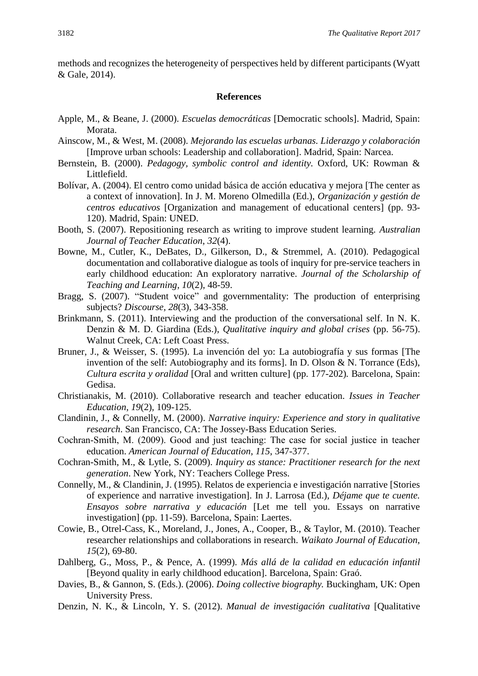methods and recognizes the heterogeneity of perspectives held by different participants (Wyatt & Gale, 2014).

#### **References**

- Apple, M., & Beane, J. (2000). *Escuelas democráticas* [Democratic schools]. Madrid, Spain: Morata.
- Ainscow, M., & West, M. (2008). *Mejorando las escuelas urbanas. Liderazgo y colaboración* [Improve urban schools: Leadership and collaboration]. Madrid, Spain: Narcea.
- Bernstein, B. (2000). *Pedagogy, symbolic control and identity.* Oxford, UK: Rowman & Littlefield.
- Bolívar, A. (2004). El centro como unidad básica de acción educativa y mejora [The center as a context of innovation]. In J. M. Moreno Olmedilla (Ed.), *Organización y gestión de centros educativos* [Organization and management of educational centers] (pp. 93- 120). Madrid, Spain: UNED.
- Booth, S. (2007). Repositioning research as writing to improve student learning. *Australian Journal of Teacher Education*, *32*(4).
- Bowne, M., Cutler, K., DeBates, D., Gilkerson, D., & Stremmel, A. (2010). Pedagogical documentation and collaborative dialogue as tools of inquiry for pre-service teachers in early childhood education: An exploratory narrative. *Journal of the Scholarship of Teaching and Learning*, *10*(2), 48-59.
- Bragg, S. (2007). "Student voice" and governmentality: The production of enterprising subjects? *Discourse*, *28*(3), 343-358.
- Brinkmann, S. (2011). Interviewing and the production of the conversational self. In N. K. Denzin & M. D. Giardina (Eds.), *Qualitative inquiry and global crises* (pp. 56-75). Walnut Creek, CA: Left Coast Press.
- Bruner, J., & Weisser, S. (1995). La invención del yo: La autobiografía y sus formas [The invention of the self: Autobiography and its forms]. In D. Olson & N. Torrance (Eds), *Cultura escrita y oralidad* [Oral and written culture] (pp. 177-202)*.* Barcelona, Spain: Gedisa.
- Christianakis, M. (2010). Collaborative research and teacher education. *Issues in Teacher Education*, *19*(2), 109-125.
- Clandinin, J., & Connelly, M. (2000). *Narrative inquiry: Experience and story in qualitative research*. San Francisco, CA: The Jossey-Bass Education Series.
- Cochran‐Smith, M. (2009). Good and just teaching: The case for social justice in teacher education. *American Journal of Education*, *115*, 347-377.
- Cochran-Smith, M., & Lytle, S. (2009). *Inquiry as stance: Practitioner research for the next generation*. New York, NY: Teachers College Press.
- Connelly, M., & Clandinin, J. (1995). Relatos de experiencia e investigación narrative [Stories of experience and narrative investigation]. In J. Larrosa (Ed.), *Déjame que te cuente. Ensayos sobre narrativa y educación* [Let me tell you. Essays on narrative investigation] (pp. 11-59). Barcelona, Spain: Laertes.
- Cowie, B., Otrel-Cass, K., Moreland, J., Jones, A., Cooper, B., & Taylor, M. (2010). Teacher researcher relationships and collaborations in research. *Waikato Journal of Education*, *15*(2), 69-80.
- Dahlberg, G., Moss, P., & Pence, A. (1999). *Más allá de la calidad en educación infantil* [Beyond quality in early childhood education]. Barcelona, Spain: Graó.
- Davies, B., & Gannon, S. (Eds.). (2006). *Doing collective biography.* Buckingham, UK: Open University Press.
- Denzin, N. K., & Lincoln, Y. S. (2012). *Manual de investigación cualitativa* [Qualitative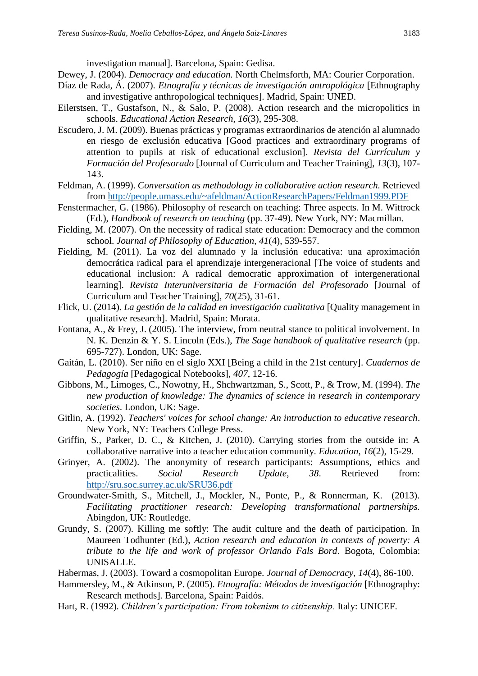investigation manual]. Barcelona, Spain: Gedisa.

Dewey, J. (2004). *Democracy and education.* North Chelmsforth, MA: Courier Corporation.

- Díaz de Rada, Á. (2007). *Etnografía y técnicas de investigación antropológica* [Ethnography and investigative anthropological techniques]. Madrid, Spain: UNED.
- Eilerstsen, T., Gustafson, N., & Salo, P. (2008). Action research and the micropolitics in schools. *Educational Action Research*, *16*(3), 295-308.
- Escudero, J. M. (2009). Buenas prácticas y programas extraordinarios de atención al alumnado en riesgo de exclusión educativa [Good practices and extraordinary programs of attention to pupils at risk of educational exclusion]. *Revista del Currículum y Formación del Profesorado* [Journal of Curriculum and Teacher Training], *13*(3), 107- 143.
- Feldman, A. (1999). *Conversation as methodology in collaborative action research.* Retrieved from<http://people.umass.edu/~afeldman/ActionResearchPapers/Feldman1999.PDF>
- Fenstermacher, G. (1986). Philosophy of research on teaching: Three aspects. In M. Wittrock (Ed.), *Handbook of research on teaching* (pp. 37-49). New York, NY: Macmillan.
- Fielding, M. (2007). On the necessity of radical state education: Democracy and the common school. *Journal of Philosophy of Education*, *41*(4), 539-557.
- Fielding, M. (2011). La voz del alumnado y la inclusión educativa: una aproximación democrática radical para el aprendizaje intergeneracional [The voice of students and educational inclusion: A radical democratic approximation of intergenerational learning]. *Revista Interuniversitaria de Formación del Profesorado* [Journal of Curriculum and Teacher Training], *70*(25), 31-61.
- Flick, U. (2014). *La gestión de la calidad en investigación cualitativa* [Quality management in qualitative research]. Madrid, Spain: Morata.
- Fontana, A., & Frey, J. (2005). The interview, from neutral stance to political involvement. In N. K. Denzin & Y. S. Lincoln (Eds.), *The Sage handbook of qualitative research* (pp. 695-727). London, UK: Sage.
- Gaitán, L. (2010). Ser niño en el siglo XXI [Being a child in the 21st century]. *Cuadernos de Pedagogía* [Pedagogical Notebooks], *407*, 12-16.
- Gibbons, M., Limoges, C., Nowotny, H., Shchwartzman, S., Scott, P., & Trow, M. (1994). *The new production of knowledge: The dynamics of science in research in contemporary societies*. London, UK: Sage.
- Gitlin, A. (1992). *Teachers' voices for school change: An introduction to educative research*. New York, NY: Teachers College Press.
- Griffin, S., Parker, D. C., & Kitchen, J. (2010). Carrying stories from the outside in: A collaborative narrative into a teacher education community. *Education*, *16*(2), 15-29.
- Grinyer, A. (2002). The anonymity of research participants: Assumptions, ethics and practicalities. *Social Research Update*, *38*. Retrieved from: <http://sru.soc.surrey.ac.uk/SRU36.pdf>
- Groundwater-Smith, S., Mitchell, J., Mockler, N., Ponte, P., & Ronnerman, K. (2013). *Facilitating practitioner research: Developing transformational partnerships.*  Abingdon, UK: Routledge.
- Grundy, S. (2007). Killing me softly: The audit culture and the death of participation. In Maureen Todhunter (Ed.), *Action research and education in contexts of poverty: A tribute to the life and work of professor Orlando Fals Bord*. Bogota, Colombia: UNISALLE.
- Habermas, J. (2003). Toward a cosmopolitan Europe. *Journal of Democracy*, *14*(4), 86-100.
- Hammersley, M., & Atkinson, P. (2005). *Etnografía: Métodos de investigación* [Ethnography: Research methods]*.* Barcelona, Spain: Paidós.
- Hart, R. (1992). *Children's participation: From tokenism to citizenship.* Italy: UNICEF.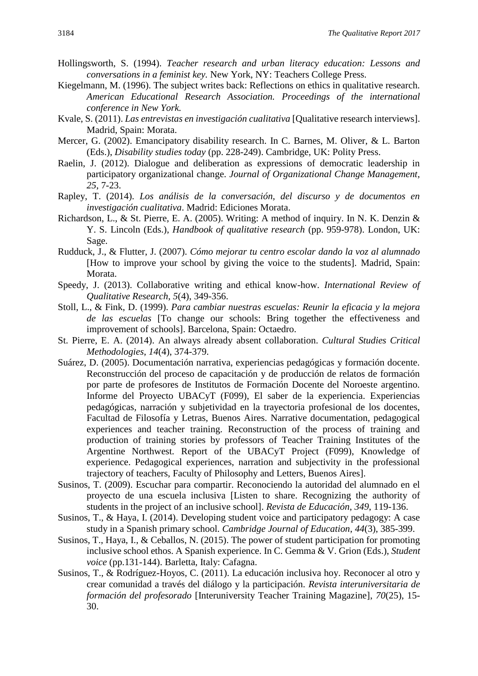- Hollingsworth, S. (1994). *Teacher research and urban literacy education: Lessons and conversations in a feminist key.* New York, NY: Teachers College Press.
- Kiegelmann, M. (1996). The subject writes back: Reflections on ethics in qualitative research. *American Educational Research Association. Proceedings of the international conference in New York.*
- Kvale, S. (2011). *Las entrevistas en investigación cualitativa* [Qualitative research interviews]. Madrid, Spain: Morata.
- Mercer, G. (2002). Emancipatory disability research. In C. Barnes, M. Oliver, & L. Barton (Eds.), *Disability studies today* (pp. 228-249). Cambridge, UK: Polity Press.
- Raelin, J. (2012). Dialogue and deliberation as expressions of democratic leadership in participatory organizational change. *Journal of Organizational Change Management*, *25*, 7-23.
- Rapley, T. (2014). *Los análisis de la conversación, del discurso y de documentos en investigación cualitativa*. Madrid: Ediciones Morata.
- Richardson, L., & St. Pierre, E. A. (2005). Writing: A method of inquiry. In N. K. Denzin & Y. S. Lincoln (Eds.), *Handbook of qualitative research* (pp. 959-978). London, UK: Sage.
- Rudduck, J., & Flutter, J. (2007). *Cómo mejorar tu centro escolar dando la voz al alumnado* [How to improve your school by giving the voice to the students]*.* Madrid, Spain: Morata.
- Speedy, J. (2013). Collaborative writing and ethical know-how. *International Review of Qualitative Research*, *5*(4), 349-356.
- Stoll, L., & Fink, D. (1999). *Para cambiar nuestras escuelas: Reunir la eficacia y la mejora de las escuelas* [To change our schools: Bring together the effectiveness and improvement of schools]. Barcelona, Spain: Octaedro.
- St. Pierre, E. A. (2014). An always already absent collaboration. *Cultural Studies Critical Methodologies*, *14*(4), 374-379.
- Suárez, D. (2005). Documentación narrativa, experiencias pedagógicas y formación docente. Reconstrucción del proceso de capacitación y de producción de relatos de formación por parte de profesores de Institutos de Formación Docente del Noroeste argentino. Informe del Proyecto UBACyT (F099), El saber de la experiencia. Experiencias pedagógicas, narración y subjetividad en la trayectoria profesional de los docentes, Facultad de Filosofía y Letras, Buenos Aires. Narrative documentation, pedagogical experiences and teacher training. Reconstruction of the process of training and production of training stories by professors of Teacher Training Institutes of the Argentine Northwest. Report of the UBACyT Project (F099), Knowledge of experience. Pedagogical experiences, narration and subjectivity in the professional trajectory of teachers, Faculty of Philosophy and Letters, Buenos Aires].
- Susinos, T. (2009). Escuchar para compartir. Reconociendo la autoridad del alumnado en el proyecto de una escuela inclusiva [Listen to share. Recognizing the authority of students in the project of an inclusive school]. *Revista de Educación*, *349*, 119-136.
- Susinos, T., & Haya, I. (2014). Developing student voice and participatory pedagogy: A case study in a Spanish primary school. *Cambridge Journal of Education*, *44*(3), 385-399.
- Susinos, T., Haya, I., & Ceballos, N. (2015). The power of student participation for promoting inclusive school ethos. A Spanish experience. In C. Gemma & V. Grion (Eds.), *Student voice* (pp.131-144). Barletta, Italy: Cafagna.
- Susinos, T., & Rodríguez-Hoyos, C. (2011). La educación inclusiva hoy. Reconocer al otro y crear comunidad a través del diálogo y la participación. *Revista interuniversitaria de formación del profesorado* [Interuniversity Teacher Training Magazine], *70*(25), 15- 30.